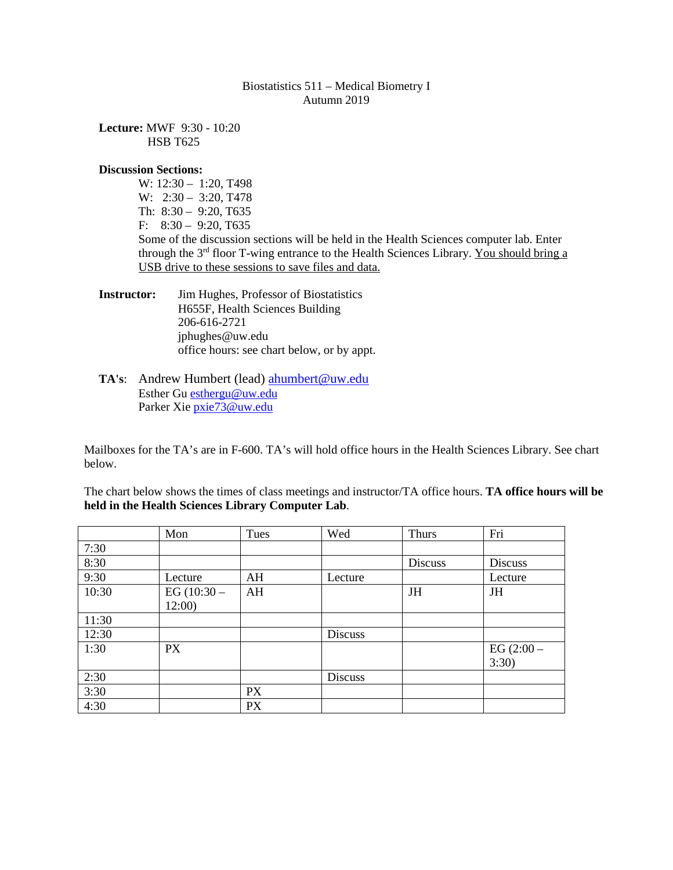### Biostatistics 511 – Medical Biometry I Autumn 2019

**Lecture:** MWF 9:30 - 10:20 HSB T625

#### **Discussion Sections:**

W: 12:30 – 1:20, T498 W: 2:30 – 3:20, T478 Th: 8:30 – 9:20, T635 F: 8:30 – 9:20, T635 Some of the discussion sections will be held in the Health Sciences computer lab. Enter through the  $3<sup>rd</sup>$  floor T-wing entrance to the Health Sciences Library. You should bring a USB drive to these sessions to save files and data.

**Instructor:** Jim Hughes, Professor of Biostatistics H655F, Health Sciences Building 206-616-2721 jphughes@uw.edu office hours: see chart below, or by appt.

### **TA's**: Andrew Humbert (lead) [ahumbert@uw.edu](mailto:ahumbert@uw.edu) Esther Gu [esthergu@uw.edu](mailto:esthergu@uw.edu) Parker Xie [pxie73@uw.edu](mailto:pxie73@uw.edu)

Mailboxes for the TA's are in F-600. TA's will hold office hours in the Health Sciences Library. See chart below.

The chart below shows the times of class meetings and instructor/TA office hours. **TA office hours will be held in the Health Sciences Library Computer Lab**.

|       | Mon           | Tues      | Wed            | <b>Thurs</b> | Fri          |
|-------|---------------|-----------|----------------|--------------|--------------|
| 7:30  |               |           |                |              |              |
| 8:30  |               |           |                | Discuss      | Discuss      |
| 9:30  | Lecture       | AH        | Lecture        |              | Lecture      |
| 10:30 | EG $(10:30 -$ | AH        |                | <b>JH</b>    | <b>JH</b>    |
|       | 12:00         |           |                |              |              |
| 11:30 |               |           |                |              |              |
| 12:30 |               |           | <b>Discuss</b> |              |              |
| 1:30  | <b>PX</b>     |           |                |              | EG $(2:00 -$ |
|       |               |           |                |              | 3:30)        |
| 2:30  |               |           | <b>Discuss</b> |              |              |
| 3:30  |               | <b>PX</b> |                |              |              |
| 4:30  |               | <b>PX</b> |                |              |              |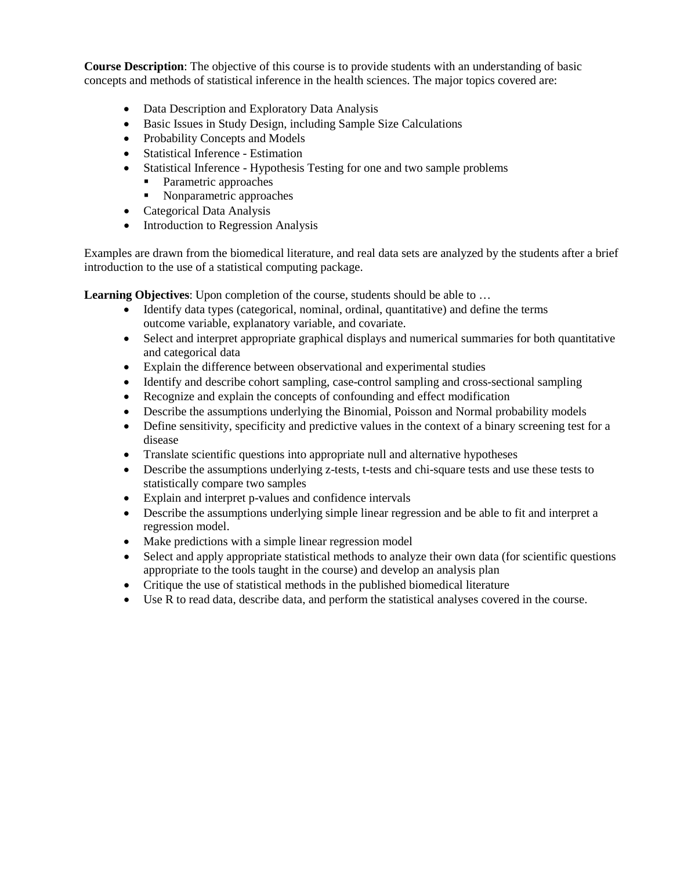**Course Description**: The objective of this course is to provide students with an understanding of basic concepts and methods of statistical inference in the health sciences. The major topics covered are:

- Data Description and Exploratory Data Analysis
- Basic Issues in Study Design, including Sample Size Calculations
- Probability Concepts and Models
- Statistical Inference Estimation
- Statistical Inference Hypothesis Testing for one and two sample problems
	- Parametric approaches
	- Nonparametric approaches
- Categorical Data Analysis
- Introduction to Regression Analysis

Examples are drawn from the biomedical literature, and real data sets are analyzed by the students after a brief introduction to the use of a statistical computing package.

**Learning Objectives**: Upon completion of the course, students should be able to ...

- Identify data types (categorical, nominal, ordinal, quantitative) and define the terms outcome variable, explanatory variable, and covariate.
- Select and interpret appropriate graphical displays and numerical summaries for both quantitative and categorical data
- Explain the difference between observational and experimental studies
- Identify and describe cohort sampling, case-control sampling and cross-sectional sampling
- Recognize and explain the concepts of confounding and effect modification
- Describe the assumptions underlying the Binomial, Poisson and Normal probability models
- Define sensitivity, specificity and predictive values in the context of a binary screening test for a disease
- Translate scientific questions into appropriate null and alternative hypotheses
- Describe the assumptions underlying z-tests, t-tests and chi-square tests and use these tests to statistically compare two samples
- Explain and interpret p-values and confidence intervals
- Describe the assumptions underlying simple linear regression and be able to fit and interpret a regression model.
- Make predictions with a simple linear regression model
- Select and apply appropriate statistical methods to analyze their own data (for scientific questions appropriate to the tools taught in the course) and develop an analysis plan
- Critique the use of statistical methods in the published biomedical literature
- Use R to read data, describe data, and perform the statistical analyses covered in the course.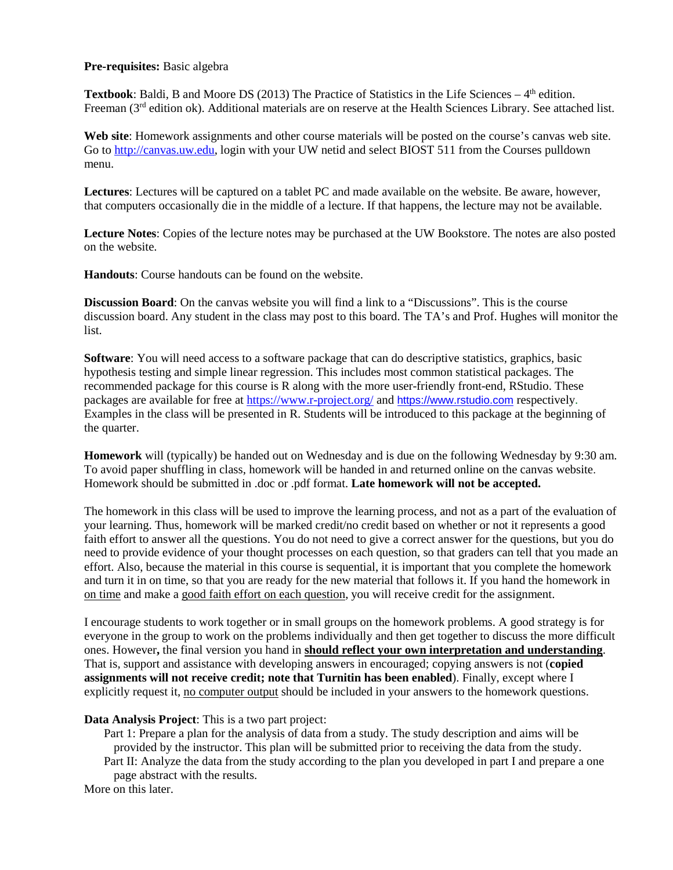### **Pre-requisites:** Basic algebra

**Textbook**: Baldi, B and Moore DS (2013) The Practice of Statistics in the Life Sciences  $-4$ <sup>th</sup> edition. Freeman (3rd edition ok). Additional materials are on reserve at the Health Sciences Library. See attached list.

**Web site**: Homework assignments and other course materials will be posted on the course's canvas web site. Go to [http://canvas.uw.edu,](http://canvas.uw.edu/) login with your UW netid and select BIOST 511 from the Courses pulldown menu.

**Lectures**: Lectures will be captured on a tablet PC and made available on the website. Be aware, however, that computers occasionally die in the middle of a lecture. If that happens, the lecture may not be available.

**Lecture Notes**: Copies of the lecture notes may be purchased at the UW Bookstore. The notes are also posted on the website.

**Handouts**: Course handouts can be found on the website.

**Discussion Board**: On the canvas website you will find a link to a "Discussions". This is the course discussion board. Any student in the class may post to this board. The TA's and Prof. Hughes will monitor the list.

**Software**: You will need access to a software package that can do descriptive statistics, graphics, basic hypothesis testing and simple linear regression. This includes most common statistical packages. The recommended package for this course is R along with the more user-friendly front-end, RStudio. These packages are available for free at<https://www.r-project.org/> and [https://www.rstudio.com](https://www.rstudio.com/) respectively. Examples in the class will be presented in R. Students will be introduced to this package at the beginning of the quarter.

**Homework** will (typically) be handed out on Wednesday and is due on the following Wednesday by 9:30 am. To avoid paper shuffling in class, homework will be handed in and returned online on the canvas website. Homework should be submitted in .doc or .pdf format. **Late homework will not be accepted.**

The homework in this class will be used to improve the learning process, and not as a part of the evaluation of your learning. Thus, homework will be marked credit/no credit based on whether or not it represents a good faith effort to answer all the questions. You do not need to give a correct answer for the questions, but you do need to provide evidence of your thought processes on each question, so that graders can tell that you made an effort. Also, because the material in this course is sequential, it is important that you complete the homework and turn it in on time, so that you are ready for the new material that follows it. If you hand the homework in on time and make a good faith effort on each question, you will receive credit for the assignment.

I encourage students to work together or in small groups on the homework problems. A good strategy is for everyone in the group to work on the problems individually and then get together to discuss the more difficult ones. However**,** the final version you hand in **should reflect your own interpretation and understanding**. That is, support and assistance with developing answers in encouraged; copying answers is not (**copied assignments will not receive credit; note that Turnitin has been enabled**). Finally, except where I explicitly request it, no computer output should be included in your answers to the homework questions.

**Data Analysis Project**: This is a two part project:

Part 1: Prepare a plan for the analysis of data from a study. The study description and aims will be provided by the instructor. This plan will be submitted prior to receiving the data from the study. Part II: Analyze the data from the study according to the plan you developed in part I and prepare a one

page abstract with the results. More on this later.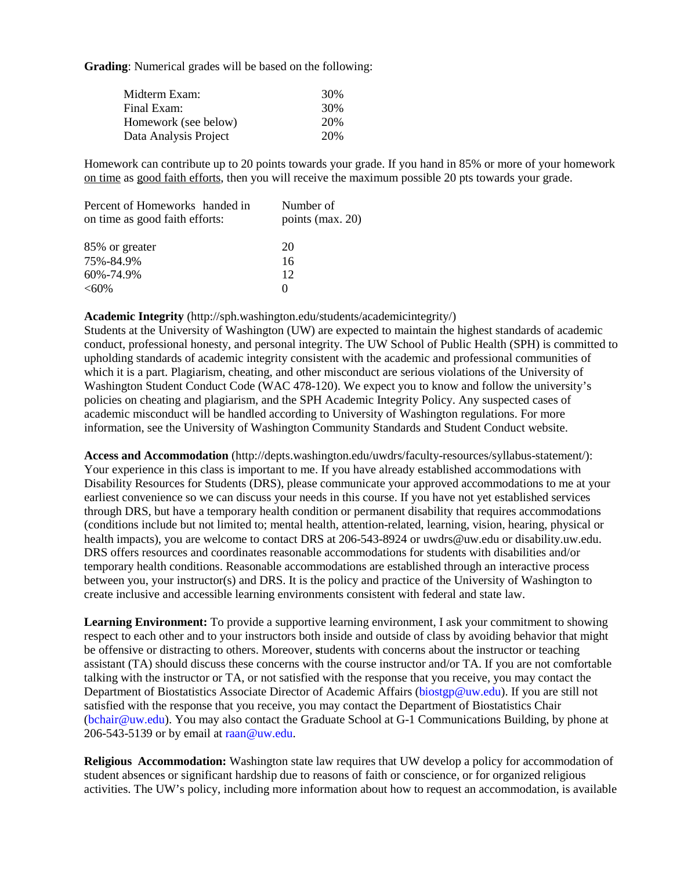**Grading**: Numerical grades will be based on the following:

| Midterm Exam:         | 30% |
|-----------------------|-----|
| Final Exam:           | 30% |
| Homework (see below)  | 20% |
| Data Analysis Project | 20% |

Homework can contribute up to 20 points towards your grade. If you hand in 85% or more of your homework on time as good faith efforts, then you will receive the maximum possible 20 pts towards your grade.

| Percent of Homeworks handed in<br>on time as good faith efforts: | Number of<br>points (max. 20) |
|------------------------------------------------------------------|-------------------------------|
|                                                                  |                               |
| 85% or greater                                                   | 20                            |
| 75%-84.9%                                                        | 16                            |
| 60%-74.9%                                                        | 12                            |
| $<60\%$                                                          | $\mathbf{\Omega}$             |

#### **Academic Integrity** (http://sph.washington.edu/students/academicintegrity/)

Students at the University of Washington (UW) are expected to maintain the highest standards of academic conduct, professional honesty, and personal integrity. The UW School of Public Health (SPH) is committed to upholding standards of academic integrity consistent with the academic and professional communities of which it is a part. Plagiarism, cheating, and other misconduct are serious violations of the University of Washington Student Conduct Code (WAC 478-120). We expect you to know and follow the university's policies on cheating and plagiarism, and the SPH Academic Integrity Policy. Any suspected cases of academic misconduct will be handled according to University of Washington regulations. For more information, see the University of Washington Community Standards and Student Conduct website.

**Access and Accommodation** (http://depts.washington.edu/uwdrs/faculty-resources/syllabus-statement/): Your experience in this class is important to me. If you have already established accommodations with Disability Resources for Students (DRS), please communicate your approved accommodations to me at your earliest convenience so we can discuss your needs in this course. If you have not yet established services through DRS, but have a temporary health condition or permanent disability that requires accommodations (conditions include but not limited to; mental health, attention-related, learning, vision, hearing, physical or health impacts), you are welcome to contact DRS at 206-543-8924 or uwdrs@uw.edu or disability.uw.edu. DRS offers resources and coordinates reasonable accommodations for students with disabilities and/or temporary health conditions. Reasonable accommodations are established through an interactive process between you, your instructor(s) and DRS. It is the policy and practice of the University of Washington to create inclusive and accessible learning environments consistent with federal and state law.

**Learning Environment:** To provide a supportive learning environment, I ask your commitment to showing respect to each other and to your instructors both inside and outside of class by avoiding behavior that might be offensive or distracting to others. Moreover, **s**tudents with concerns about the instructor or teaching assistant (TA) should discuss these concerns with the course instructor and/or TA. If you are not comfortable talking with the instructor or TA, or not satisfied with the response that you receive, you may contact the Department of Biostatistics Associate Director of Academic Affairs [\(biostgp@uw.edu\)](mailto:biostgp@uw.edu). If you are still not satisfied with the response that you receive, you may contact the Department of Biostatistics Chair [\(bchair@uw.edu\)](mailto:bchair@uw.edu). You may also contact the Graduate School at G-1 Communications Building, by phone at 206-543-5139 or by email at [raan@uw.edu.](mailto:raan@uw.edu)

**Religious Accommodation:** Washington state law requires that UW develop a policy for accommodation of student absences or significant hardship due to reasons of faith or conscience, or for organized religious activities. The UW's policy, including more information about how to request an accommodation, is available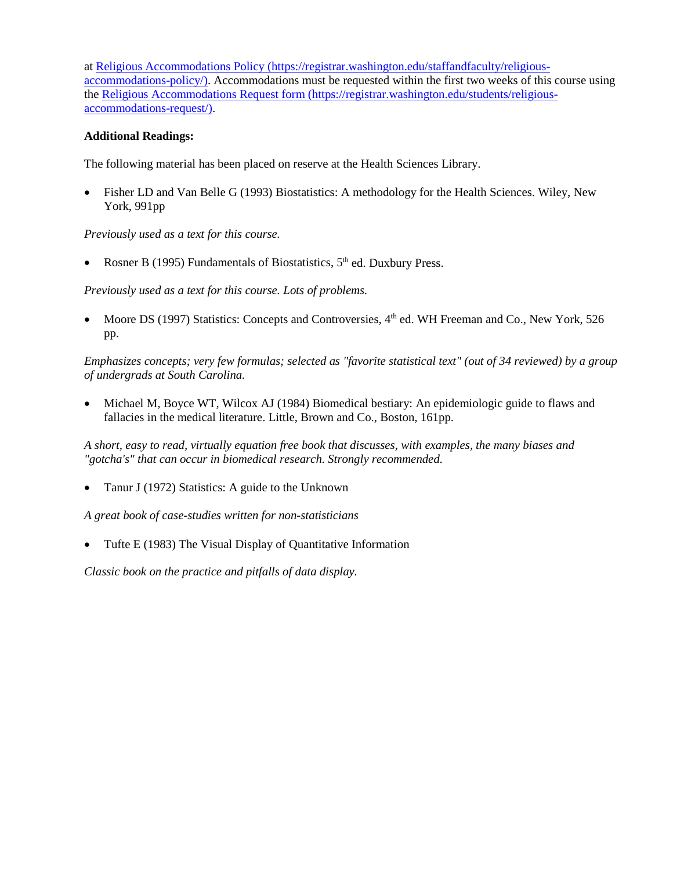at [Religious Accommodations Policy \(https://registrar.washington.edu/staffandfaculty/religious](https://registrar.washington.edu/staffandfaculty/religious-accommodations-policy/)[accommodations-policy/\).](https://registrar.washington.edu/staffandfaculty/religious-accommodations-policy/) Accommodations must be requested within the first two weeks of this course using th[e Religious Accommodations Request form \(https://registrar.washington.edu/students/religious](https://registrar.washington.edu/students/religious-accommodations-request/)[accommodations-request/\).](https://registrar.washington.edu/students/religious-accommodations-request/)

# **Additional Readings:**

The following material has been placed on reserve at the Health Sciences Library.

• Fisher LD and Van Belle G (1993) Biostatistics: A methodology for the Health Sciences. Wiley, New York, 991pp

*Previously used as a text for this course.*

• Rosner B (1995) Fundamentals of Biostatistics,  $5<sup>th</sup>$  ed. Duxbury Press.

*Previously used as a text for this course. Lots of problems.*

• Moore DS (1997) Statistics: Concepts and Controversies, 4<sup>th</sup> ed. WH Freeman and Co., New York, 526 pp.

*Emphasizes concepts; very few formulas; selected as "favorite statistical text" (out of 34 reviewed) by a group of undergrads at South Carolina.* 

• Michael M, Boyce WT, Wilcox AJ (1984) Biomedical bestiary: An epidemiologic guide to flaws and fallacies in the medical literature. Little, Brown and Co., Boston, 161pp.

*A short, easy to read, virtually equation free book that discusses, with examples, the many biases and "gotcha's" that can occur in biomedical research. Strongly recommended.*

• Tanur J (1972) Statistics: A guide to the Unknown

*A great book of case-studies written for non-statisticians*

• Tufte E (1983) The Visual Display of Quantitative Information

*Classic book on the practice and pitfalls of data display.*